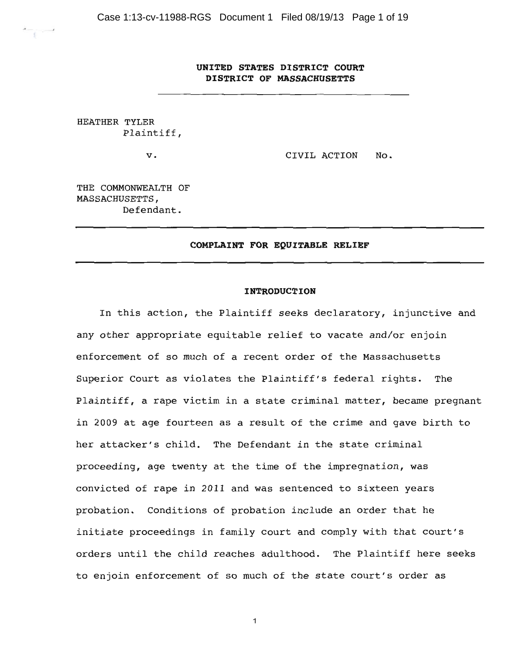Case 1:13-cv-11988-RGS Document 1 Filed 08/19/13 Page 1 of 19

# UNITED STATES DISTRICT COURT DISTRICT OF MASSACHUSETTS

HEATHER TYLER Plaintiff,

 $\mathbf v$ .

CIVIL ACTION No.

THE COMMONWEALTH OF MASSACHUSETTS, Defendant.

## COMPLAINT FOR EQUITABLE RELIEF

## **INTRODUCTION**

In this action, the Plaintiff seeks declaratory, injunctive and any other appropriate equitable relief to vacate and/or enjoin enforcement of so much of a recent order of the Massachusetts Superior Court as violates the Plaintiff's federal rights. The Plaintiff, a rape victim in a state criminal matter, became pregnant in 2009 at age fourteen as a result of the crime and gave birth to her attacker's child. The Defendant in the state criminal proceeding, age twenty at the time of the impregnation, was convicted of rape in 2011 and was sentenced to sixteen years probation. Conditions of probation include an order that he initiate proceedings in family court and comply with that court's orders until the child reaches adulthood. The Plaintiff here seeks to enjoin enforcement of so much of the state court's order as

 $\mathbf 1$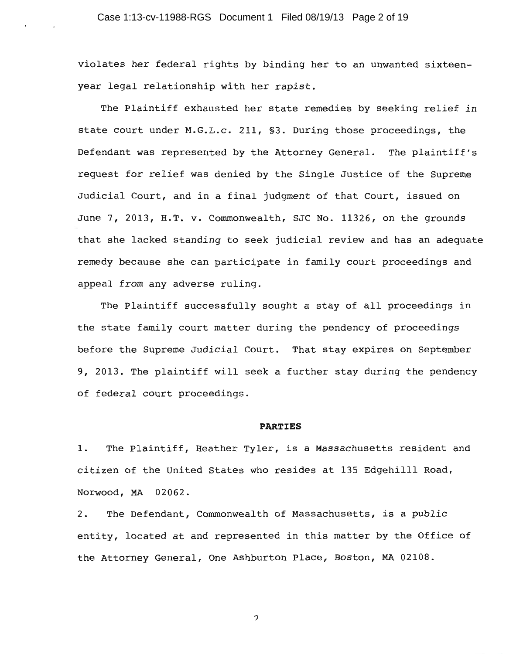violates her federal rights by binding her to an unwanted sixteenyear legal relationship with her rapist.

The Plaintiff exhausted her state remedies by seeking relief in state court under M.G.L.c. 211, §3. During those proceedings, the Defendant was represented by the Attorney General. The plaintiff's request for relief was denied by the Single Justice of the Supreme Judicial Court, and in a final judgment of that Court, issued on June 7, 2013, H.T. v. Commonwealth, SJC No. 11326, on the grounds that she lacked standing to seek judicial review and has an adequate remedy because she can participate in family court proceedings and appeal from any adverse ruling.

The Plaintiff successfully sought a stay of all proceedings in the state family court matter during the pendency of proceedings before the Supreme Judicial Court. That stay expires on September 9, 2013. The plaintiff will seek a further stay during the pendency of federal court proceedings.

#### **PARTIES**

The Plaintiff, Heather Tyler, is a Massachusetts resident and 1. citizen of the United States who resides at 135 Edgehilll Road, Norwood, MA 02062.

The Defendant, Commonwealth of Massachusetts, is a public  $2.$ entity, located at and represented in this matter by the Office of the Attorney General, One Ashburton Place, Boston, MA 02108.

 $\mathfrak{D}$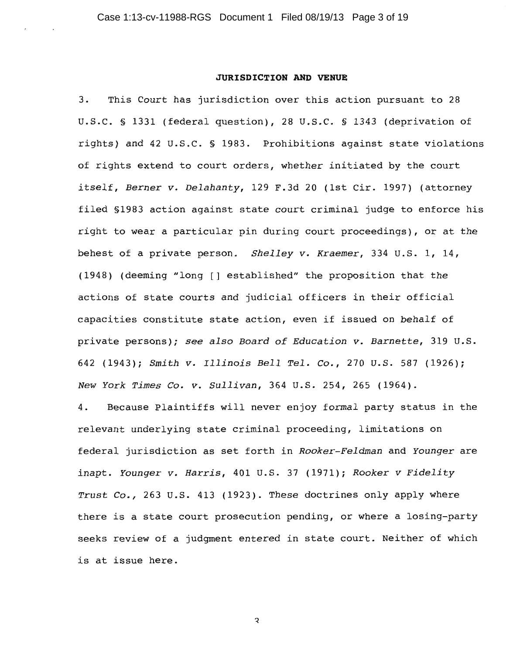## **JURISDICTION AND VENUE**

 $3.$ This Court has jurisdiction over this action pursuant to 28 U.S.C. § 1331 (federal question), 28 U.S.C. § 1343 (deprivation of rights) and 42 U.S.C. § 1983. Prohibitions against state violations of rights extend to court orders, whether initiated by the court itself, Berner v. Delahanty, 129 F.3d 20 (1st Cir. 1997) (attorney filed \$1983 action against state court criminal judge to enforce his right to wear a particular pin during court proceedings), or at the behest of a private person. Shelley v. Kraemer, 334 U.S. 1, 14, (1948) (deeming "long [] established" the proposition that the actions of state courts and judicial officers in their official capacities constitute state action, even if issued on behalf of private persons); see also Board of Education v. Barnette, 319 U.S. 642 (1943); Smith v. Illinois Bell Tel. Co., 270 U.S. 587 (1926); New York Times Co. v. Sullivan, 364 U.S. 254, 265 (1964).

4. Because Plaintiffs will never enjoy formal party status in the relevant underlying state criminal proceeding, limitations on federal jurisdiction as set forth in Rooker-Feldman and Younger are inapt. Younger v. Harris, 401 U.S. 37 (1971); Rooker v Fidelity Trust Co., 263 U.S. 413 (1923). These doctrines only apply where there is a state court prosecution pending, or where a losing-party seeks review of a judgment entered in state court. Neither of which is at issue here.

 $\mathbf{z}$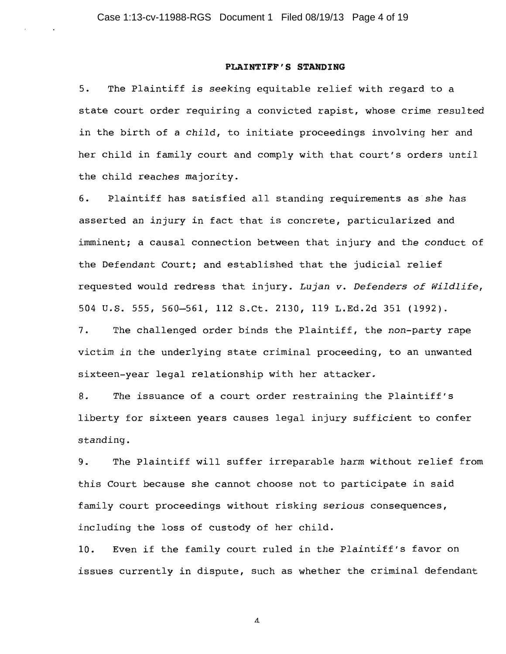#### PLAINTIFF'S STANDING

The Plaintiff is seeking equitable relief with regard to a  $5.$ state court order requiring a convicted rapist, whose crime resulted in the birth of a child, to initiate proceedings involving her and her child in family court and comply with that court's orders until the child reaches majority.

6. Plaintiff has satisfied all standing requirements as she has asserted an injury in fact that is concrete, particularized and imminent; a causal connection between that injury and the conduct of the Defendant Court; and established that the judicial relief requested would redress that injury. Lujan v. Defenders of Wildlife, 504 U.S. 555, 560-561, 112 S.Ct. 2130, 119 L.Ed.2d 351 (1992).

The challenged order binds the Plaintiff, the non-party rape  $7.$ victim in the underlying state criminal proceeding, to an unwanted sixteen-year legal relationship with her attacker.

8. The issuance of a court order restraining the Plaintiff's liberty for sixteen years causes legal injury sufficient to confer standing.

 $9.$ The Plaintiff will suffer irreparable harm without relief from this Court because she cannot choose not to participate in said family court proceedings without risking serious consequences, including the loss of custody of her child.

 $10.$ Even if the family court ruled in the Plaintiff's favor on issues currently in dispute, such as whether the criminal defendant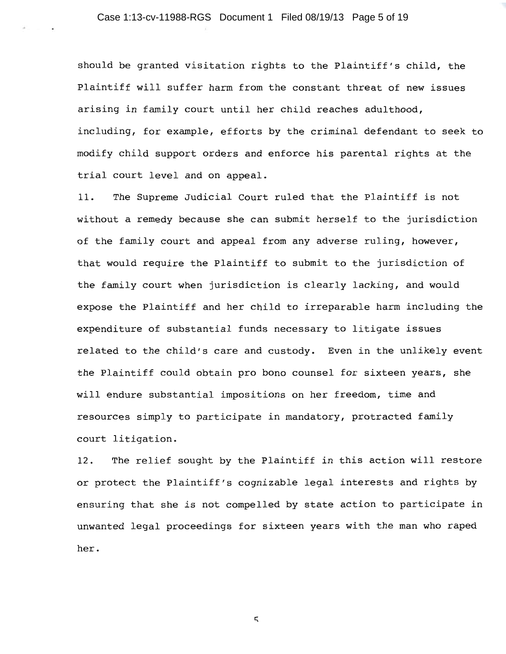should be granted visitation rights to the Plaintiff's child, the Plaintiff will suffer harm from the constant threat of new issues arising in family court until her child reaches adulthood, including, for example, efforts by the criminal defendant to seek to modify child support orders and enforce his parental rights at the trial court level and on appeal.

The Supreme Judicial Court ruled that the Plaintiff is not  $11.$ without a remedy because she can submit herself to the jurisdiction of the family court and appeal from any adverse ruling, however, that would require the Plaintiff to submit to the jurisdiction of the family court when jurisdiction is clearly lacking, and would expose the Plaintiff and her child to irreparable harm including the expenditure of substantial funds necessary to litigate issues related to the child's care and custody. Even in the unlikely event the Plaintiff could obtain pro bono counsel for sixteen years, she will endure substantial impositions on her freedom, time and resources simply to participate in mandatory, protracted family court litigation.

The relief sought by the Plaintiff in this action will restore  $12.$ or protect the Plaintiff's cognizable legal interests and rights by ensuring that she is not compelled by state action to participate in unwanted legal proceedings for sixteen years with the man who raped her.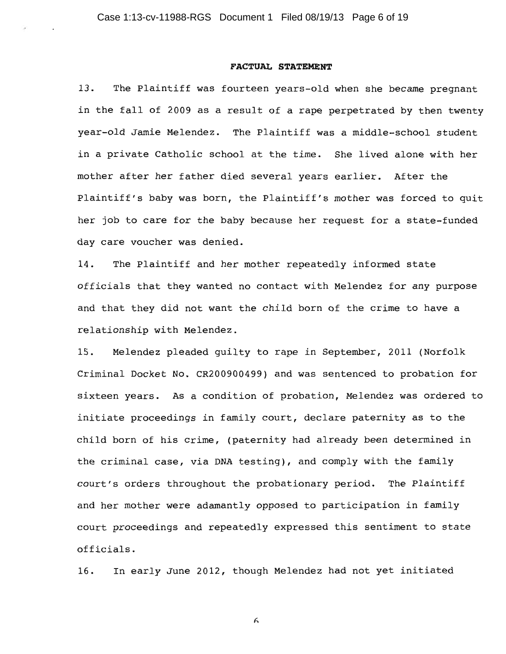#### FACTUAL STATEMENT

 $13.$ The Plaintiff was fourteen years-old when she became pregnant in the fall of 2009 as a result of a rape perpetrated by then twenty year-old Jamie Melendez. The Plaintiff was a middle-school student in a private Catholic school at the time. She lived alone with her mother after her father died several years earlier. After the Plaintiff's baby was born, the Plaintiff's mother was forced to quit her job to care for the baby because her request for a state-funded day care voucher was denied.

14. The Plaintiff and her mother repeatedly informed state officials that they wanted no contact with Melendez for any purpose and that they did not want the child born of the crime to have a relationship with Melendez.

Melendez pleaded quilty to rape in September, 2011 (Norfolk  $15.$ Criminal Docket No. CR200900499) and was sentenced to probation for sixteen years. As a condition of probation, Melendez was ordered to initiate proceedings in family court, declare paternity as to the child born of his crime, (paternity had already been determined in the criminal case, via DNA testing), and comply with the family court's orders throughout the probationary period. The Plaintiff and her mother were adamantly opposed to participation in family court proceedings and repeatedly expressed this sentiment to state officials.

In early June 2012, though Melendez had not yet initiated 16.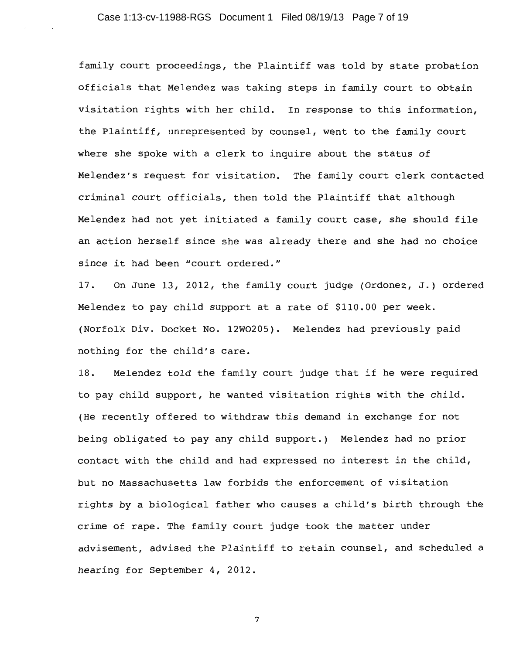family court proceedings, the Plaintiff was told by state probation officials that Melendez was taking steps in family court to obtain visitation rights with her child. In response to this information, the Plaintiff, unrepresented by counsel, went to the family court where she spoke with a clerk to inquire about the status of Melendez's request for visitation. The family court clerk contacted criminal court officials, then told the Plaintiff that although Melendez had not yet initiated a family court case, she should file an action herself since she was already there and she had no choice since it had been "court ordered."

On June 13, 2012, the family court judge (Ordonez, J.) ordered 17. Melendez to pay child support at a rate of \$110.00 per week. (Norfolk Div. Docket No. 12W0205). Melendez had previously paid nothing for the child's care.

18. Melendez told the family court judge that if he were required to pay child support, he wanted visitation rights with the child. (He recently offered to withdraw this demand in exchange for not being obligated to pay any child support.) Melendez had no prior contact with the child and had expressed no interest in the child, but no Massachusetts law forbids the enforcement of visitation rights by a biological father who causes a child's birth through the crime of rape. The family court judge took the matter under advisement, advised the Plaintiff to retain counsel, and scheduled a hearing for September 4, 2012.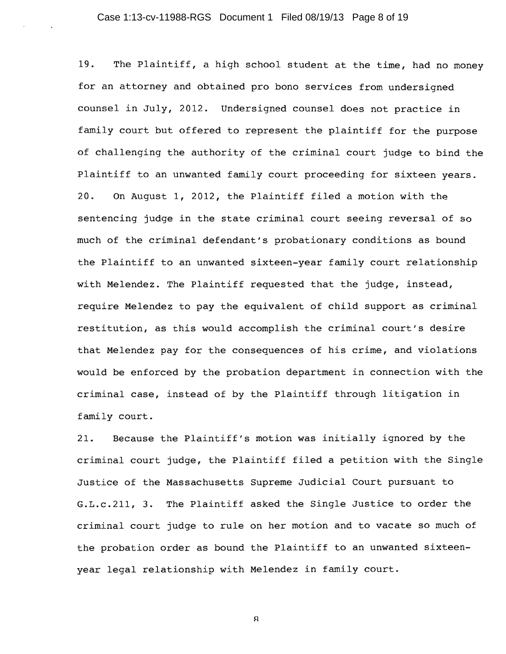19. The Plaintiff, a high school student at the time, had no money for an attorney and obtained pro bono services from undersigned counsel in July, 2012. Undersigned counsel does not practice in family court but offered to represent the plaintiff for the purpose of challenging the authority of the criminal court judge to bind the Plaintiff to an unwanted family court proceeding for sixteen years. On August 1, 2012, the Plaintiff filed a motion with the  $20.$ sentencing judge in the state criminal court seeing reversal of so much of the criminal defendant's probationary conditions as bound the Plaintiff to an unwanted sixteen-year family court relationship with Melendez. The Plaintiff requested that the judge, instead, require Melendez to pay the equivalent of child support as criminal restitution, as this would accomplish the criminal court's desire that Melendez pay for the consequences of his crime, and violations would be enforced by the probation department in connection with the criminal case, instead of by the Plaintiff through litigation in family court.

 $21.$ Because the Plaintiff's motion was initially ignored by the criminal court judge, the Plaintiff filed a petition with the Single Justice of the Massachusetts Supreme Judicial Court pursuant to G.L.c.211, 3. The Plaintiff asked the Single Justice to order the criminal court judge to rule on her motion and to vacate so much of the probation order as bound the Plaintiff to an unwanted sixteenyear legal relationship with Melendez in family court.

 $\mathsf R$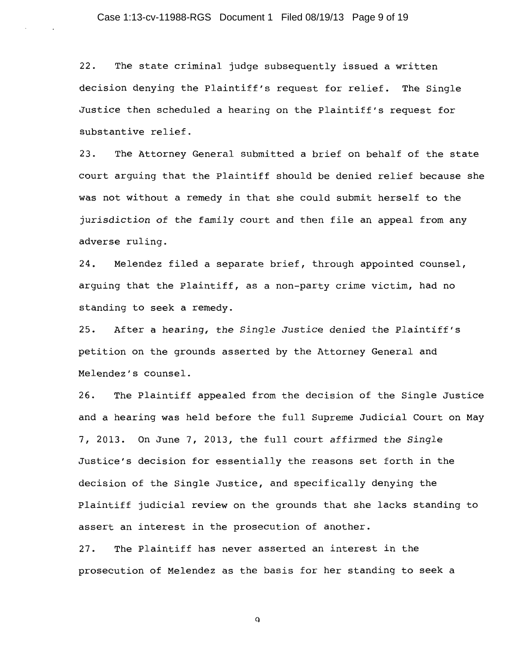$22.$ The state criminal judge subsequently issued a written decision denying the Plaintiff's request for relief. The Single Justice then scheduled a hearing on the Plaintiff's request for substantive relief.

The Attorney General submitted a brief on behalf of the state  $23.$ court arguing that the Plaintiff should be denied relief because she was not without a remedy in that she could submit herself to the jurisdiction of the family court and then file an appeal from any adverse ruling.

24. Melendez filed a separate brief, through appointed counsel, arguing that the Plaintiff, as a non-party crime victim, had no standing to seek a remedy.

After a hearing, the Single Justice denied the Plaintiff's  $25.$ petition on the grounds asserted by the Attorney General and Melendez's counsel.

 $26.$ The Plaintiff appealed from the decision of the Single Justice and a hearing was held before the full Supreme Judicial Court on May 7, 2013. On June 7, 2013, the full court affirmed the Single Justice's decision for essentially the reasons set forth in the decision of the Single Justice, and specifically denying the Plaintiff judicial review on the grounds that she lacks standing to assert an interest in the prosecution of another.

 $27.$ The Plaintiff has never asserted an interest in the prosecution of Melendez as the basis for her standing to seek a

 $\mathbf{Q}$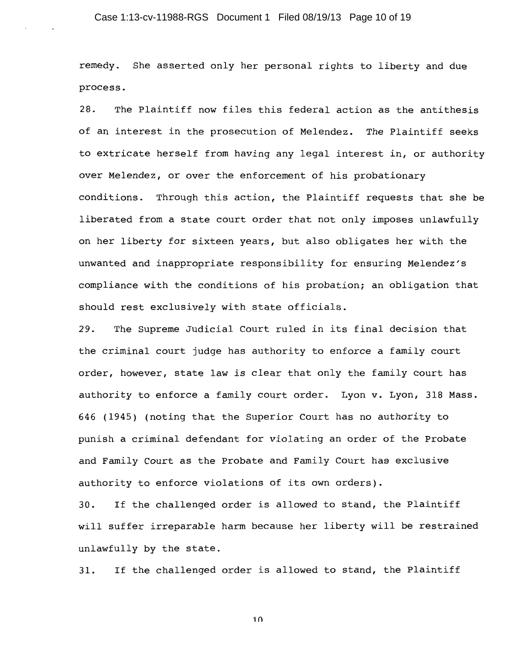## Case 1:13-cv-11988-RGS Document 1 Filed 08/19/13 Page 10 of 19

remedy. She asserted only her personal rights to liberty and due process.

 $28.$ The Plaintiff now files this federal action as the antithesis of an interest in the prosecution of Melendez. The Plaintiff seeks to extricate herself from having any legal interest in, or authority over Melendez, or over the enforcement of his probationary conditions. Through this action, the Plaintiff requests that she be liberated from a state court order that not only imposes unlawfully on her liberty for sixteen years, but also obligates her with the unwanted and inappropriate responsibility for ensuring Melendez's compliance with the conditions of his probation; an obligation that should rest exclusively with state officials.

The Supreme Judicial Court ruled in its final decision that 29. the criminal court judge has authority to enforce a family court order, however, state law is clear that only the family court has authority to enforce a family court order. Lyon v. Lyon, 318 Mass. 646 (1945) (noting that the Superior Court has no authority to punish a criminal defendant for violating an order of the Probate and Family Court as the Probate and Family Court has exclusive authority to enforce violations of its own orders).

If the challenged order is allowed to stand, the Plaintiff  $30.$ will suffer irreparable harm because her liberty will be restrained unlawfully by the state.

If the challenged order is allowed to stand, the Plaintiff 31.

 $1<sub>0</sub>$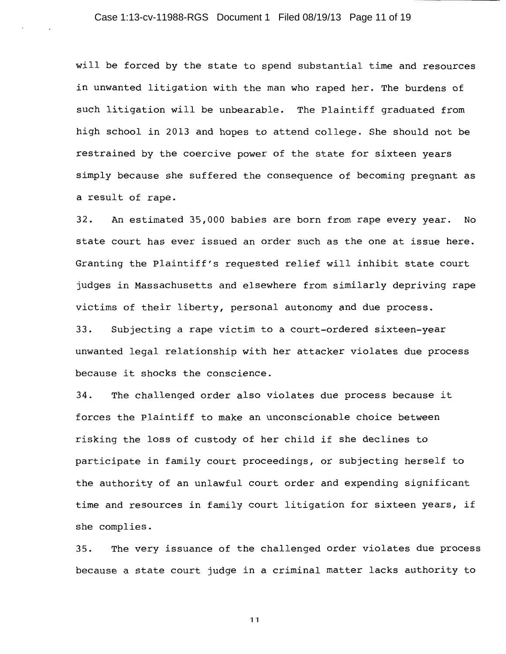will be forced by the state to spend substantial time and resources in unwanted litigation with the man who raped her. The burdens of such litigation will be unbearable. The Plaintiff graduated from high school in 2013 and hopes to attend college. She should not be restrained by the coercive power of the state for sixteen years simply because she suffered the consequence of becoming pregnant as a result of rape.

An estimated 35,000 babies are born from rape every year.  $32.$  $N<sub>O</sub>$ state court has ever issued an order such as the one at issue here. Granting the Plaintiff's requested relief will inhibit state court judges in Massachusetts and elsewhere from similarly depriving rape victims of their liberty, personal autonomy and due process.  $33.$ Subjecting a rape victim to a court-ordered sixteen-year

unwanted legal relationship with her attacker violates due process because it shocks the conscience.

The challenged order also violates due process because it 34. forces the Plaintiff to make an unconscionable choice between risking the loss of custody of her child if she declines to participate in family court proceedings, or subjecting herself to the authority of an unlawful court order and expending significant time and resources in family court litigation for sixteen years, if she complies.

The very issuance of the challenged order violates due process  $35.$ because a state court judge in a criminal matter lacks authority to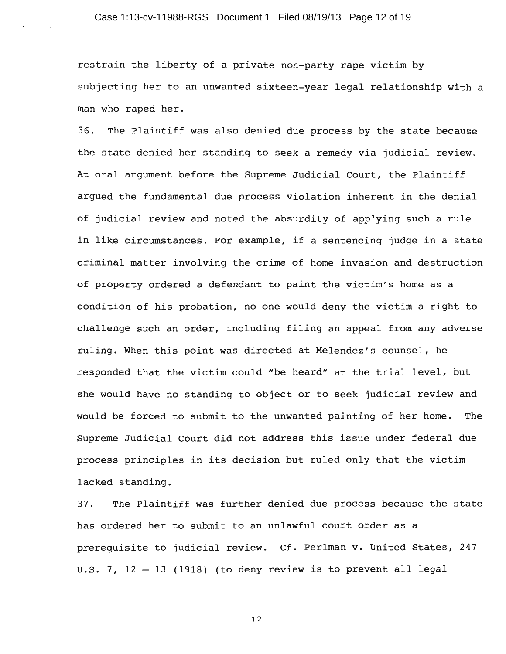restrain the liberty of a private non-party rape victim by subjecting her to an unwanted sixteen-year legal relationship with a man who raped her.

 $36.$ The Plaintiff was also denied due process by the state because the state denied her standing to seek a remedy via judicial review. At oral argument before the Supreme Judicial Court, the Plaintiff argued the fundamental due process violation inherent in the denial of judicial review and noted the absurdity of applying such a rule in like circumstances. For example, if a sentencing judge in a state criminal matter involving the crime of home invasion and destruction of property ordered a defendant to paint the victim's home as a condition of his probation, no one would deny the victim a right to challenge such an order, including filing an appeal from any adverse ruling. When this point was directed at Melendez's counsel, he responded that the victim could "be heard" at the trial level, but she would have no standing to object or to seek judicial review and would be forced to submit to the unwanted painting of her home. The Supreme Judicial Court did not address this issue under federal due process principles in its decision but ruled only that the victim lacked standing.

The Plaintiff was further denied due process because the state  $37.$ has ordered her to submit to an unlawful court order as a prerequisite to judicial review. Cf. Perlman v. United States, 247 U.S. 7, 12 - 13 (1918) (to deny review is to prevent all legal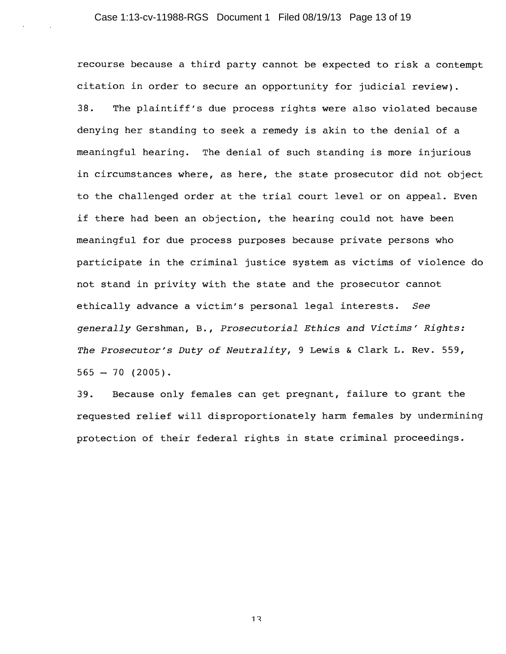recourse because a third party cannot be expected to risk a contempt citation in order to secure an opportunity for judicial review). The plaintiff's due process rights were also violated because  $38.$ denying her standing to seek a remedy is akin to the denial of a meaningful hearing. The denial of such standing is more injurious in circumstances where, as here, the state prosecutor did not object to the challenged order at the trial court level or on appeal. Even if there had been an objection, the hearing could not have been meaningful for due process purposes because private persons who participate in the criminal justice system as victims of violence do not stand in privity with the state and the prosecutor cannot ethically advance a victim's personal legal interests. See generally Gershman, B., Prosecutorial Ethics and Victims' Rights: The Prosecutor's Duty of Neutrality, 9 Lewis & Clark L. Rev. 559,  $565 - 70$  (2005).

Because only females can get pregnant, failure to grant the  $39.$ requested relief will disproportionately harm females by undermining protection of their federal rights in state criminal proceedings.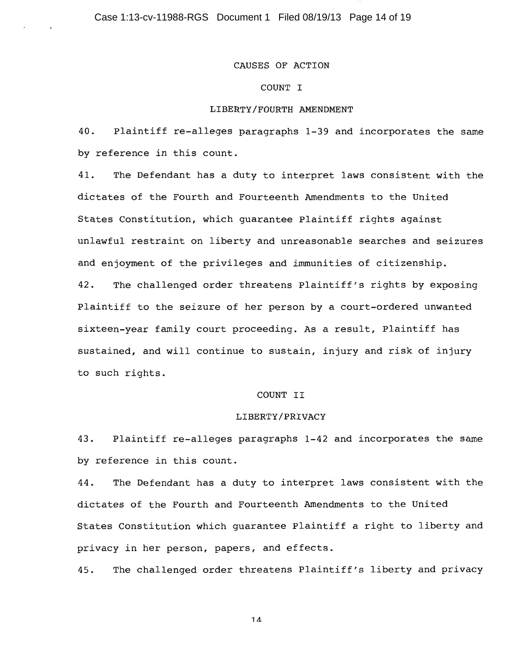## CAUSES OF ACTION

# COUNT I

## LIBERTY/FOURTH AMENDMENT

Plaintiff re-alleges paragraphs 1-39 and incorporates the same 40. by reference in this count.

41. The Defendant has a duty to interpret laws consistent with the dictates of the Fourth and Fourteenth Amendments to the United States Constitution, which quarantee Plaintiff rights against unlawful restraint on liberty and unreasonable searches and seizures and enjoyment of the privileges and immunities of citizenship.  $42.$ The challenged order threatens Plaintiff's rights by exposing Plaintiff to the seizure of her person by a court-ordered unwanted sixteen-year family court proceeding. As a result, Plaintiff has sustained, and will continue to sustain, injury and risk of injury to such rights.

## COUNT II

#### LIBERTY/PRIVACY

43. Plaintiff re-alleges paragraphs 1-42 and incorporates the same by reference in this count.

The Defendant has a duty to interpret laws consistent with the 44. dictates of the Fourth and Fourteenth Amendments to the United States Constitution which quarantee Plaintiff a right to liberty and privacy in her person, papers, and effects.

45. The challenged order threatens Plaintiff's liberty and privacy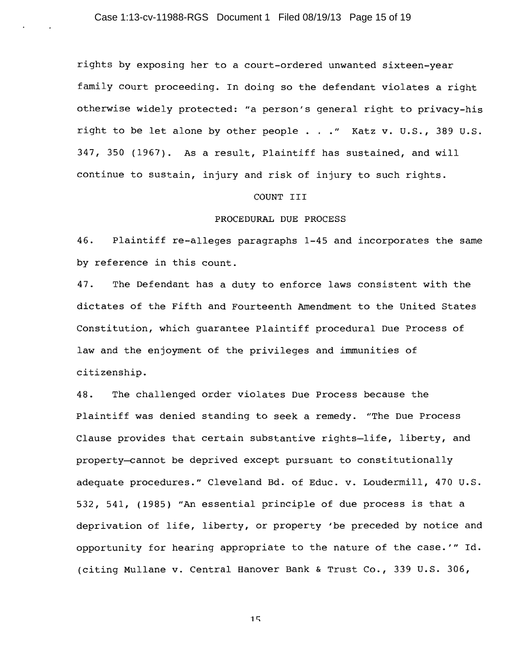rights by exposing her to a court-ordered unwanted sixteen-year family court proceeding. In doing so the defendant violates a right otherwise widely protected: "a person's general right to privacy-his right to be let alone by other people . . ." Katz v. U.S., 389 U.S. 347, 350 (1967). As a result, Plaintiff has sustained, and will continue to sustain, injury and risk of injury to such rights.

## COUNT III

# PROCEDURAL DUE PROCESS

46. Plaintiff re-alleges paragraphs 1-45 and incorporates the same by reference in this count.

The Defendant has a duty to enforce laws consistent with the 47. dictates of the Fifth and Fourteenth Amendment to the United States Constitution, which quarantee Plaintiff procedural Due Process of law and the enjoyment of the privileges and immunities of citizenship.

The challenged order violates Due Process because the 48. Plaintiff was denied standing to seek a remedy. "The Due Process Clause provides that certain substantive rights-life, liberty, and property-cannot be deprived except pursuant to constitutionally adequate procedures." Cleveland Bd. of Educ. v. Loudermill, 470 U.S. 532, 541, (1985) "An essential principle of due process is that a deprivation of life, liberty, or property 'be preceded by notice and opportunity for hearing appropriate to the nature of the case.'" Id. (citing Mullane v. Central Hanover Bank & Trust Co., 339 U.S. 306,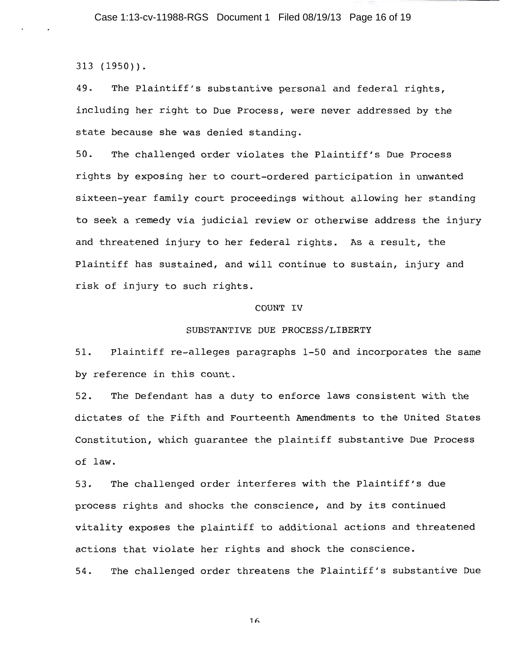$313(1950)$ .

The Plaintiff's substantive personal and federal rights, 49. including her right to Due Process, were never addressed by the state because she was denied standing.

The challenged order violates the Plaintiff's Due Process  $50.$ rights by exposing her to court-ordered participation in unwanted sixteen-year family court proceedings without allowing her standing to seek a remedy via judicial review or otherwise address the injury and threatened injury to her federal rights. As a result, the Plaintiff has sustained, and will continue to sustain, injury and risk of injury to such rights.

### COUNT IV

#### SUBSTANTIVE DUE PROCESS/LIBERTY

Plaintiff re-alleges paragraphs 1-50 and incorporates the same  $51.$ by reference in this count.

The Defendant has a duty to enforce laws consistent with the  $52.$ dictates of the Fifth and Fourteenth Amendments to the United States Constitution, which quarantee the plaintiff substantive Due Process of law.

The challenged order interferes with the Plaintiff's due  $53.$ process rights and shocks the conscience, and by its continued vitality exposes the plaintiff to additional actions and threatened actions that violate her rights and shock the conscience.

The challenged order threatens the Plaintiff's substantive Due 54.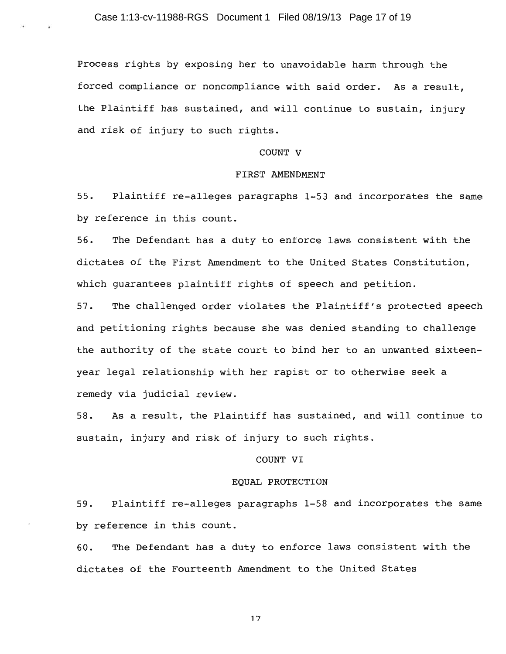Process rights by exposing her to unavoidable harm through the forced compliance or noncompliance with said order. As a result, the Plaintiff has sustained, and will continue to sustain, injury and risk of injury to such rights.

## COUNT V

#### FIRST AMENDMENT

 $55.$ Plaintiff re-alleges paragraphs 1-53 and incorporates the same by reference in this count.

 $56.$ The Defendant has a duty to enforce laws consistent with the dictates of the First Amendment to the United States Constitution, which guarantees plaintiff rights of speech and petition.

 $57.$ The challenged order violates the Plaintiff's protected speech and petitioning rights because she was denied standing to challenge the authority of the state court to bind her to an unwanted sixteenyear legal relationship with her rapist or to otherwise seek a remedy via judicial review.

As a result, the Plaintiff has sustained, and will continue to  $58.$ sustain, injury and risk of injury to such rights.

## COUNT VI

## EQUAL PROTECTION

 $59.$ Plaintiff re-alleges paragraphs 1-58 and incorporates the same by reference in this count.

The Defendant has a duty to enforce laws consistent with the 60. dictates of the Fourteenth Amendment to the United States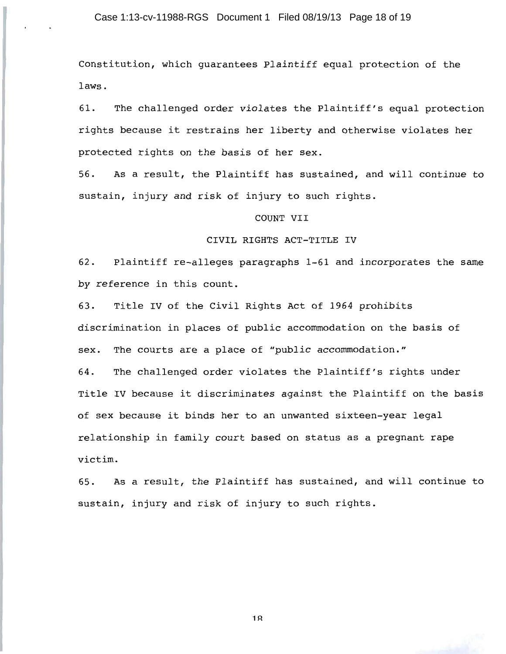Constitution, which quarantees Plaintiff equal protection of the laws.

61. The challenged order violates the Plaintiff's equal protection rights because it restrains her liberty and otherwise violates her protected rights on the basis of her sex.

As a result, the Plaintiff has sustained, and will continue to  $56.$ sustain, injury and risk of injury to such rights.

## COUNT VII

### CIVIL RIGHTS ACT-TITLE IV

62. Plaintiff re-alleges paragraphs 1-61 and incorporates the same by reference in this count.

Title IV of the Civil Rights Act of 1964 prohibits 63. discrimination in places of public accommodation on the basis of The courts are a place of "public accommodation." sex. 64. The challenged order violates the Plaintiff's rights under Title IV because it discriminates against the Plaintiff on the basis of sex because it binds her to an unwanted sixteen-year legal relationship in family court based on status as a pregnant rape victim.

As a result, the Plaintiff has sustained, and will continue to 65. sustain, injury and risk of injury to such rights.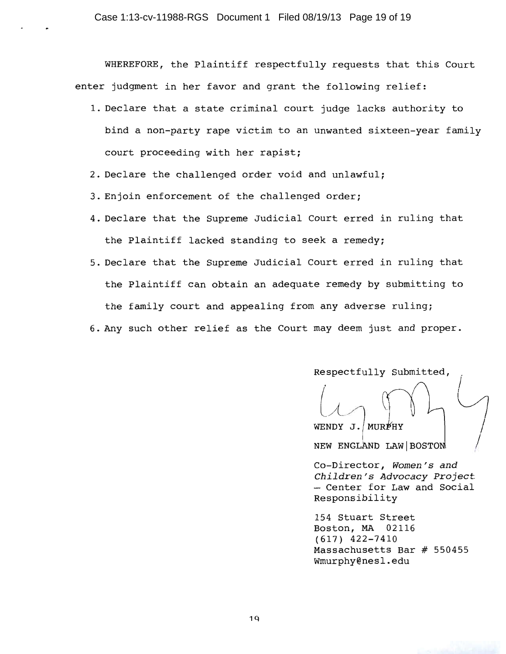WHEREFORE, the Plaintiff respectfully requests that this Court enter judgment in her favor and grant the following relief:

- 1. Declare that a state criminal court judge lacks authority to bind a non-party rape victim to an unwanted sixteen-year family court proceeding with her rapist;
- 2. Declare the challenged order void and unlawful;
- 3. Enjoin enforcement of the challenged order;
- 4. Declare that the Supreme Judicial Court erred in ruling that the Plaintiff lacked standing to seek a remedy;
- 5. Declare that the Supreme Judicial Court erred in ruling that the Plaintiff can obtain an adequate remedy by submitting to the family court and appealing from any adverse ruling;
- 6. Any such other relief as the Court may deem just and proper.

Respectfully Submitted,

WENDY J. MURPHY NEW ENGLAND LAW BOSTON

Co-Director, Women's and Children's Advocacy Project - Center for Law and Social Responsibility

154 Stuart Street Boston, MA 02116  $(617)$  422-7410 Massachusetts Bar # 550455 Wmurphy@nesl.edu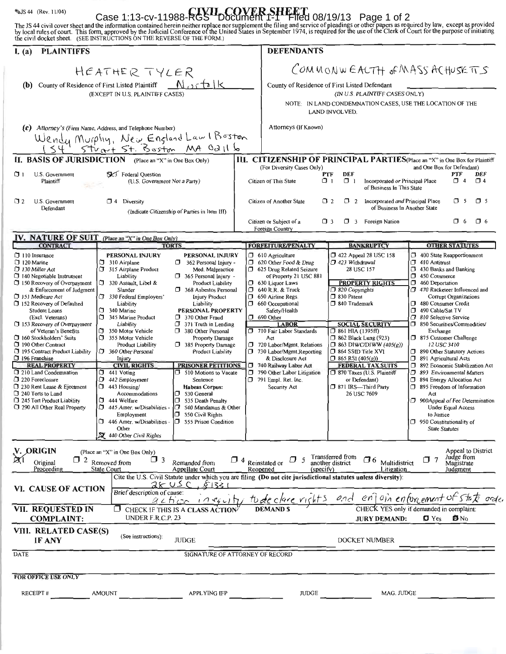SUS 44 (Rev. 11/04)<br>
Case 1:13-CV-11988-RGS DOCUMENT 1-1 FIIED 08/19/13 Page 1 of 2<br>
The JS 44 civil cover sheet and the information contained herein neither replace nor supplement the filing and service of pleadings or ot

| I. (a)<br><b>PLAINTIFFS</b>                                                                                                                                                                                                                                                                                                                                                                                                                                                                                                                                                                                               |                                                                                                                                                                                                                                                                                                                                                                                                                                                                                                                                                                                                                                                                                                                                                                                                                                                                                                                                                                                                                                                                                                                                                                                                        | <b>DEFENDANTS</b>                                                                                                                                                                                                                                                                                                                                                                                                                                                                                             |                                                                                                                                                                                                                                                                                                                                                                                                                                                 |                                                                                                                                                                                                                                                                                                                                                                                                                                                                                                                                                                                                                                                                                                                 |  |  |  |
|---------------------------------------------------------------------------------------------------------------------------------------------------------------------------------------------------------------------------------------------------------------------------------------------------------------------------------------------------------------------------------------------------------------------------------------------------------------------------------------------------------------------------------------------------------------------------------------------------------------------------|--------------------------------------------------------------------------------------------------------------------------------------------------------------------------------------------------------------------------------------------------------------------------------------------------------------------------------------------------------------------------------------------------------------------------------------------------------------------------------------------------------------------------------------------------------------------------------------------------------------------------------------------------------------------------------------------------------------------------------------------------------------------------------------------------------------------------------------------------------------------------------------------------------------------------------------------------------------------------------------------------------------------------------------------------------------------------------------------------------------------------------------------------------------------------------------------------------|---------------------------------------------------------------------------------------------------------------------------------------------------------------------------------------------------------------------------------------------------------------------------------------------------------------------------------------------------------------------------------------------------------------------------------------------------------------------------------------------------------------|-------------------------------------------------------------------------------------------------------------------------------------------------------------------------------------------------------------------------------------------------------------------------------------------------------------------------------------------------------------------------------------------------------------------------------------------------|-----------------------------------------------------------------------------------------------------------------------------------------------------------------------------------------------------------------------------------------------------------------------------------------------------------------------------------------------------------------------------------------------------------------------------------------------------------------------------------------------------------------------------------------------------------------------------------------------------------------------------------------------------------------------------------------------------------------|--|--|--|
| (b) County of Residence of First Listed Plaintiff                                                                                                                                                                                                                                                                                                                                                                                                                                                                                                                                                                         | HEATHER TYLER<br>$N$ ortalk<br>(EXCEPT IN U.S. PLAINTIFF CASES)                                                                                                                                                                                                                                                                                                                                                                                                                                                                                                                                                                                                                                                                                                                                                                                                                                                                                                                                                                                                                                                                                                                                        |                                                                                                                                                                                                                                                                                                                                                                                                                                                                                                               | COMMONWEACTH OF MASS ACHUSETTS<br>County of Residence of First Listed Defendant<br>(IN U.S. PLAINTIFF CASES ONLY)<br>NOTE: IN LAND CONDEMNATION CASES, USE THE LOCATION OF THE                                                                                                                                                                                                                                                                  |                                                                                                                                                                                                                                                                                                                                                                                                                                                                                                                                                                                                                                                                                                                 |  |  |  |
| (c) Attorney's (Firm Name, Address, and Telephone Number)                                                                                                                                                                                                                                                                                                                                                                                                                                                                                                                                                                 | Wendy Murphy, New England Law I Boston<br>154 Stuart 5t. Boston MA Oall 6                                                                                                                                                                                                                                                                                                                                                                                                                                                                                                                                                                                                                                                                                                                                                                                                                                                                                                                                                                                                                                                                                                                              | Attorneys (If Known)                                                                                                                                                                                                                                                                                                                                                                                                                                                                                          | LAND INVOLVED.                                                                                                                                                                                                                                                                                                                                                                                                                                  |                                                                                                                                                                                                                                                                                                                                                                                                                                                                                                                                                                                                                                                                                                                 |  |  |  |
|                                                                                                                                                                                                                                                                                                                                                                                                                                                                                                                                                                                                                           | II. BASIS OF JURISDICTION (Place an "X" in One Box Only)                                                                                                                                                                                                                                                                                                                                                                                                                                                                                                                                                                                                                                                                                                                                                                                                                                                                                                                                                                                                                                                                                                                                               | III. CITIZENSHIP OF PRINCIPAL PARTIES(Place an "X" in One Box for Plaintiff                                                                                                                                                                                                                                                                                                                                                                                                                                   |                                                                                                                                                                                                                                                                                                                                                                                                                                                 |                                                                                                                                                                                                                                                                                                                                                                                                                                                                                                                                                                                                                                                                                                                 |  |  |  |
| $\Box$ 1<br>U.S. Government<br>Plaintiff                                                                                                                                                                                                                                                                                                                                                                                                                                                                                                                                                                                  | SK <sup>3</sup> Federal Question<br>(U.S. Government Not a Party)                                                                                                                                                                                                                                                                                                                                                                                                                                                                                                                                                                                                                                                                                                                                                                                                                                                                                                                                                                                                                                                                                                                                      | (For Diversity Cases Only)<br>Citizen of This State                                                                                                                                                                                                                                                                                                                                                                                                                                                           | and One Box for Defendant)<br>DEF<br>PTF<br>DEF<br>PTF<br>$\Box$ 1<br>$\Box$ 4<br>$\Box$ 4<br>ו ס<br>Incorporated or Principal Place<br>of Business In This State                                                                                                                                                                                                                                                                               |                                                                                                                                                                                                                                                                                                                                                                                                                                                                                                                                                                                                                                                                                                                 |  |  |  |
| U.S. Government<br>□ 2<br>Defendant                                                                                                                                                                                                                                                                                                                                                                                                                                                                                                                                                                                       | $\Box$ 4 Diversity<br>(Indicate Citizenship of Parties in Item III)                                                                                                                                                                                                                                                                                                                                                                                                                                                                                                                                                                                                                                                                                                                                                                                                                                                                                                                                                                                                                                                                                                                                    | Citizen of Another State                                                                                                                                                                                                                                                                                                                                                                                                                                                                                      | $\sigma$ s<br>$\Box$ 5<br>O 2<br>$\Box$ 2<br>Incorporated and Principal Place<br>of Business In Another State<br>$\Box$ 3                                                                                                                                                                                                                                                                                                                       |                                                                                                                                                                                                                                                                                                                                                                                                                                                                                                                                                                                                                                                                                                                 |  |  |  |
|                                                                                                                                                                                                                                                                                                                                                                                                                                                                                                                                                                                                                           |                                                                                                                                                                                                                                                                                                                                                                                                                                                                                                                                                                                                                                                                                                                                                                                                                                                                                                                                                                                                                                                                                                                                                                                                        | Citizen or Subject of a<br>Foreign Country                                                                                                                                                                                                                                                                                                                                                                                                                                                                    | 3 Foreign Nation<br>σ.                                                                                                                                                                                                                                                                                                                                                                                                                          | $\Box$ 6<br>O 6                                                                                                                                                                                                                                                                                                                                                                                                                                                                                                                                                                                                                                                                                                 |  |  |  |
| IV. NATURE OF SUIT (Place an "X" in One Box Only)                                                                                                                                                                                                                                                                                                                                                                                                                                                                                                                                                                         |                                                                                                                                                                                                                                                                                                                                                                                                                                                                                                                                                                                                                                                                                                                                                                                                                                                                                                                                                                                                                                                                                                                                                                                                        |                                                                                                                                                                                                                                                                                                                                                                                                                                                                                                               |                                                                                                                                                                                                                                                                                                                                                                                                                                                 |                                                                                                                                                                                                                                                                                                                                                                                                                                                                                                                                                                                                                                                                                                                 |  |  |  |
| <b>CONTRACT</b>                                                                                                                                                                                                                                                                                                                                                                                                                                                                                                                                                                                                           | <b>TORTS</b>                                                                                                                                                                                                                                                                                                                                                                                                                                                                                                                                                                                                                                                                                                                                                                                                                                                                                                                                                                                                                                                                                                                                                                                           | <b>FORFEITURE/PENALTY</b>                                                                                                                                                                                                                                                                                                                                                                                                                                                                                     | <b>BANKRUPTCY</b>                                                                                                                                                                                                                                                                                                                                                                                                                               | <b>OTHER STATUTES</b>                                                                                                                                                                                                                                                                                                                                                                                                                                                                                                                                                                                                                                                                                           |  |  |  |
| $\Box$ 110 Insurance<br>120 Marine<br>□ 130 Miller Act<br>$\Box$ 140 Negotiable Instrument<br>$\Box$ 150 Recovery of Overpayment<br>& Enforcement of Judgment<br>151 Medicare Act<br>$\Box$ 152 Recovery of Defaulted<br>Student Loans<br>(Excl. Veterans)<br>$\Box$ 153 Recovery of Overpayment<br>of Veteran's Benefits<br>□ 160 Stockholders' Suits<br>190 Other Contract<br>195 Contract Product Liability<br>□ 196 Franchise<br><b>REAL PROPERTY</b><br>210 Land Condemnation<br>220 Foreclosure<br>7 230 Rent Lease & Ejectment<br>240 Torts to Land<br>3245 Tort Product Liability<br>1290 All Other Real Property | PERSONAL INJURY<br>PERSONAL INJURY<br>$\Box$ 310 Airplane<br>$\Box$ 362 Personal Injury -<br>315 Airplane Product<br>Med. Malpractice<br>Liability<br>$\Box$ 365 Personal Injury -<br>320 Assault, Libel &<br>Product Liability<br>Slander<br>$\Box$ 368 Asbestos Personal<br>$\Box$ 330 Federal Employers'<br><b>Injury Product</b><br>Liability<br>Liability<br>$\Box$ 340 Marine<br>PERSONAL PROPERTY<br>345 Marine Product<br>370 Other Fraud<br>$\Box$ 371 Truth in Lending<br>Liability<br>σ<br>350 Motor Vehicle<br>380 Other Personal<br>$\Box$ 355 Motor Vehicle<br>Property Damage<br>385 Property Damage<br><b>Product Liability</b><br>360 Other Personal<br>Product Liability<br>Injury<br><b>CIVIL RIGHTS</b><br><b>PRISONER PETITIONS</b><br>510 Motions to Vacate<br>$\Box$ 441 Voting<br>σ<br>442 Employment<br>Sentence<br>443 Housing/<br>σ.<br><b>Habeas Corpus:</b><br>Accommodations<br>530 General<br>σ.<br>444 Welfare<br>$\Box$ 535 Death Penalty<br>$\Box$ 445 Amer. w/Disabilities -<br>540 Mandamus & Other<br>$\Box$ 550 Civil Rights<br>Employment<br>$\Box$ 446 Amer. w/Disabilities - $\Box$ 555 Prison Condition<br>Other<br>$\mathbf{\nabla}$ 440 Other Civil Rights | $\Box$ 610 Agriculture<br>$\Box$ 620 Other Food & Drug<br>5 625 Drug Related Seizure<br>of Property 21 USC 881<br>$\Box$ 630 Liquor Laws<br>$\Box$ 640 R.R. & Truck<br><b>1</b> 650 Airline Regs.<br>$\Box$ 660 Occupational<br>Safety/Health<br>$\Box$ 690 Other<br><b>LABOR</b><br>710 Fair Labor Standards<br>Act<br>720 Labor/Mgmt. Relations<br>$\Box$ 730 Labor/Mgmt Reporting<br>& Disclosure Act<br>740 Railway Labor Act<br>790 Other Labor Litigation<br>$\Box$ 791 Empl. Ret. Inc.<br>Security Act | $\Box$ 422 Appeal 28 USC 158<br>1423 Withdrawal<br>28 USC 157<br><b>PROPERTY RIGHTS</b><br>$\Box$ 820 Copyrights<br>□ 830 Patent<br>340 Trademark<br><b>SOCIAL SECURITY</b><br>$\Box$ 861 HIA (1395ff)<br><b>362 Black Lung (923)</b><br>$\Box$ 863 DIWC/DIWW (405(g))<br>$\Box$ 864 SSID Title XVI<br>$\Box$ 865 RSI (405(g))<br><b>FEDERAL TAX SUITS</b><br>7870 Taxes (U.S. Plaintiff<br>or Defendant)<br>371 IRS-Third Party<br>26 USC 7609 | 400 State Reapportionment<br>$\Box$ 410 Antitrust<br>3 430 Banks and Banking<br>450 Commerce<br>460 Deportation<br>7 470 Racketeer Influenced and<br>Corrupt Organizations<br>480 Consumer Credit<br>σ.<br>490 Cable/Sat TV<br>□ 810 Selective Service<br>□ 850 Securities/Commodities/<br>Exchange<br>$\Box$ 875 Customer Challenge<br>12 USC 3410<br>7 890 Other Statutory Actions<br>σ.<br>891 Agricultural Acts<br>σ<br>892 Economic Stabilization Act<br>σ.<br>893 Environmental Matters<br>ο.<br>894 Energy Allocation Act<br>595 Freedom of Information<br>Act<br>900 Appeal of Fee Determination<br><b>Under Equal Access</b><br>to Justice<br>$\Box$ 950 Constitutionality of<br><b>State Statutes</b> |  |  |  |
| V. ORIGIN<br>Appeal to District<br>(Place an "X" in One Box Only)<br>Judge from<br>Transferred from<br>another district<br>$\Box$ 6<br>$\Box$ 7<br>$\Box$ 3<br>$\Box$ 4 Reinstated or $\Box$ 5<br>$\Box$ 2 Removed from<br>Multidistrict<br>Remanded from<br>Original<br>Magistrate<br>Proceeding<br><b>State Court</b><br>Appellate Court<br>Reopened<br>(specify)<br>Litigation<br>Judgment                                                                                                                                                                                                                             |                                                                                                                                                                                                                                                                                                                                                                                                                                                                                                                                                                                                                                                                                                                                                                                                                                                                                                                                                                                                                                                                                                                                                                                                        |                                                                                                                                                                                                                                                                                                                                                                                                                                                                                                               |                                                                                                                                                                                                                                                                                                                                                                                                                                                 |                                                                                                                                                                                                                                                                                                                                                                                                                                                                                                                                                                                                                                                                                                                 |  |  |  |
| VI. CAUSE OF ACTION                                                                                                                                                                                                                                                                                                                                                                                                                                                                                                                                                                                                       | Cite the U.S. Civil Statute under which you are filing (Do not cite jurisdictional statutes unless diversity):<br>2505C<br>81331<br>Brief description of cause:                                                                                                                                                                                                                                                                                                                                                                                                                                                                                                                                                                                                                                                                                                                                                                                                                                                                                                                                                                                                                                        |                                                                                                                                                                                                                                                                                                                                                                                                                                                                                                               |                                                                                                                                                                                                                                                                                                                                                                                                                                                 |                                                                                                                                                                                                                                                                                                                                                                                                                                                                                                                                                                                                                                                                                                                 |  |  |  |
| <b>VII. REQUESTED IN</b><br><b>COMPLAINT:</b>                                                                                                                                                                                                                                                                                                                                                                                                                                                                                                                                                                             | $\Box$ CHECK IF THIS IS A CLASS ACTION<br>UNDER F.R.C.P. 23                                                                                                                                                                                                                                                                                                                                                                                                                                                                                                                                                                                                                                                                                                                                                                                                                                                                                                                                                                                                                                                                                                                                            | action ineguity to declare rights                                                                                                                                                                                                                                                                                                                                                                                                                                                                             | and enjoin enforcement of state order<br>CHECK YES only if demanded in complaint:<br>$\blacksquare$ Yes<br><b>D-</b> No<br><b>JURY DEMAND:</b>                                                                                                                                                                                                                                                                                                  |                                                                                                                                                                                                                                                                                                                                                                                                                                                                                                                                                                                                                                                                                                                 |  |  |  |
| VIII. RELATED CASE(S)<br>IF ANY                                                                                                                                                                                                                                                                                                                                                                                                                                                                                                                                                                                           | (See instructions):<br><b>JUDGE</b>                                                                                                                                                                                                                                                                                                                                                                                                                                                                                                                                                                                                                                                                                                                                                                                                                                                                                                                                                                                                                                                                                                                                                                    |                                                                                                                                                                                                                                                                                                                                                                                                                                                                                                               | DOCKET NUMBER                                                                                                                                                                                                                                                                                                                                                                                                                                   |                                                                                                                                                                                                                                                                                                                                                                                                                                                                                                                                                                                                                                                                                                                 |  |  |  |
| DATE<br>SIGNATURE OF ATTORNEY OF RECORD                                                                                                                                                                                                                                                                                                                                                                                                                                                                                                                                                                                   |                                                                                                                                                                                                                                                                                                                                                                                                                                                                                                                                                                                                                                                                                                                                                                                                                                                                                                                                                                                                                                                                                                                                                                                                        |                                                                                                                                                                                                                                                                                                                                                                                                                                                                                                               |                                                                                                                                                                                                                                                                                                                                                                                                                                                 |                                                                                                                                                                                                                                                                                                                                                                                                                                                                                                                                                                                                                                                                                                                 |  |  |  |
| <b>FOR OFFICE USE ONLY</b><br>RECEIPT#                                                                                                                                                                                                                                                                                                                                                                                                                                                                                                                                                                                    | <b>AMOUNT</b><br>APPLYING IFP                                                                                                                                                                                                                                                                                                                                                                                                                                                                                                                                                                                                                                                                                                                                                                                                                                                                                                                                                                                                                                                                                                                                                                          | JUDGE                                                                                                                                                                                                                                                                                                                                                                                                                                                                                                         | MAG. JUDGE                                                                                                                                                                                                                                                                                                                                                                                                                                      |                                                                                                                                                                                                                                                                                                                                                                                                                                                                                                                                                                                                                                                                                                                 |  |  |  |